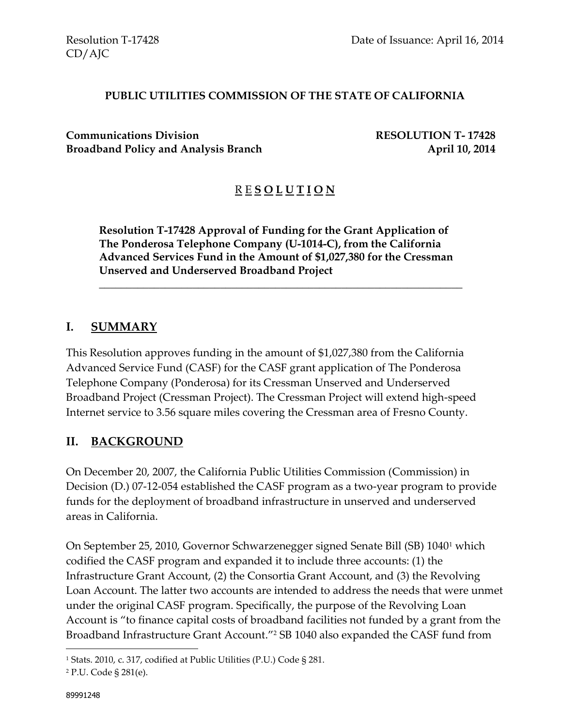#### **PUBLIC UTILITIES COMMISSION OF THE STATE OF CALIFORNIA**

**Communications Division RESOLUTION T- 17428 Broadband Policy and Analysis Branch April 10, 2014** 

# R E **S O L U T I O N**

**Resolution T-17428 Approval of Funding for the Grant Application of The Ponderosa Telephone Company (U-1014-C), from the California Advanced Services Fund in the Amount of \$1,027,380 for the Cressman Unserved and Underserved Broadband Project**

\_\_\_\_\_\_\_\_\_\_\_\_\_\_\_\_\_\_\_\_\_\_\_\_\_\_\_\_\_\_\_\_\_\_\_\_\_\_\_\_\_\_\_\_\_\_\_\_\_\_\_\_\_\_\_\_\_\_\_\_\_\_\_\_\_\_

#### **I. SUMMARY**

This Resolution approves funding in the amount of \$1,027,380 from the California Advanced Service Fund (CASF) for the CASF grant application of The Ponderosa Telephone Company (Ponderosa) for its Cressman Unserved and Underserved Broadband Project (Cressman Project). The Cressman Project will extend high-speed Internet service to 3.56 square miles covering the Cressman area of Fresno County.

#### **II. BACKGROUND**

On December 20, 2007, the California Public Utilities Commission (Commission) in Decision (D.) 07-12-054 established the CASF program as a two-year program to provide funds for the deployment of broadband infrastructure in unserved and underserved areas in California.

On September 25, 2010, Governor Schwarzenegger signed Senate Bill (SB) 1040<sup>1</sup> which codified the CASF program and expanded it to include three accounts: (1) the Infrastructure Grant Account, (2) the Consortia Grant Account, and (3) the Revolving Loan Account. The latter two accounts are intended to address the needs that were unmet under the original CASF program. Specifically, the purpose of the Revolving Loan Account is "to finance capital costs of broadband facilities not funded by a grant from the Broadband Infrastructure Grant Account."<sup>2</sup> SB 1040 also expanded the CASF fund from

 $\overline{a}$ 

<sup>1</sup> Stats. 2010, c. 317, codified at Public Utilities (P.U.) Code § 281.

<sup>2</sup> P.U. Code § 281(e).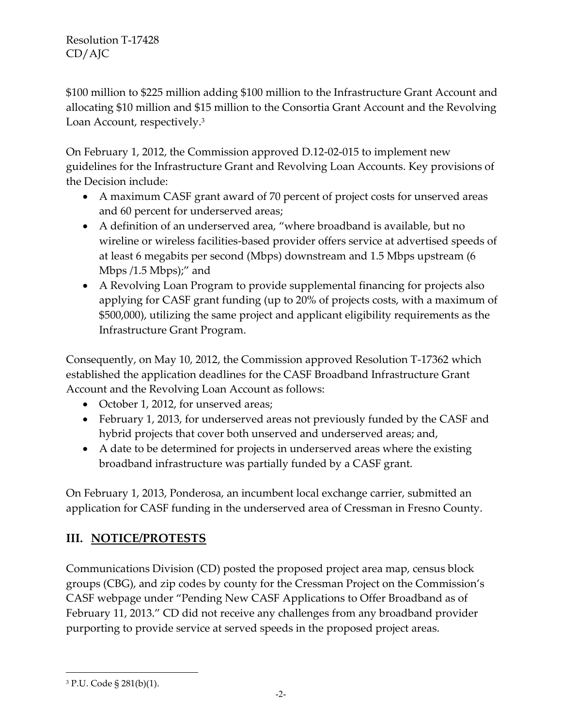\$100 million to \$225 million adding \$100 million to the Infrastructure Grant Account and allocating \$10 million and \$15 million to the Consortia Grant Account and the Revolving Loan Account, respectively.<sup>3</sup>

On February 1, 2012, the Commission approved D.12-02-015 to implement new guidelines for the Infrastructure Grant and Revolving Loan Accounts. Key provisions of the Decision include:

- A maximum CASF grant award of 70 percent of project costs for unserved areas and 60 percent for underserved areas;
- A definition of an underserved area, "where broadband is available, but no wireline or wireless facilities-based provider offers service at advertised speeds of at least 6 megabits per second (Mbps) downstream and 1.5 Mbps upstream (6 Mbps  $/1.5$  Mbps $)'$  and
- A Revolving Loan Program to provide supplemental financing for projects also applying for CASF grant funding (up to 20% of projects costs, with a maximum of \$500,000), utilizing the same project and applicant eligibility requirements as the Infrastructure Grant Program.

Consequently, on May 10, 2012, the Commission approved Resolution T-17362 which established the application deadlines for the CASF Broadband Infrastructure Grant Account and the Revolving Loan Account as follows:

- October 1, 2012, for unserved areas;
- February 1, 2013, for underserved areas not previously funded by the CASF and hybrid projects that cover both unserved and underserved areas; and,
- A date to be determined for projects in underserved areas where the existing broadband infrastructure was partially funded by a CASF grant.

On February 1, 2013, Ponderosa, an incumbent local exchange carrier, submitted an application for CASF funding in the underserved area of Cressman in Fresno County.

# **III. NOTICE/PROTESTS**

Communications Division (CD) posted the proposed project area map, census block groups (CBG), and zip codes by county for the Cressman Project on the Commission's CASF webpage under "Pending New CASF Applications to Offer Broadband as of February 11, 2013." CD did not receive any challenges from any broadband provider purporting to provide service at served speeds in the proposed project areas.

 $\overline{a}$ 

<sup>3</sup> P.U. Code § 281(b)(1).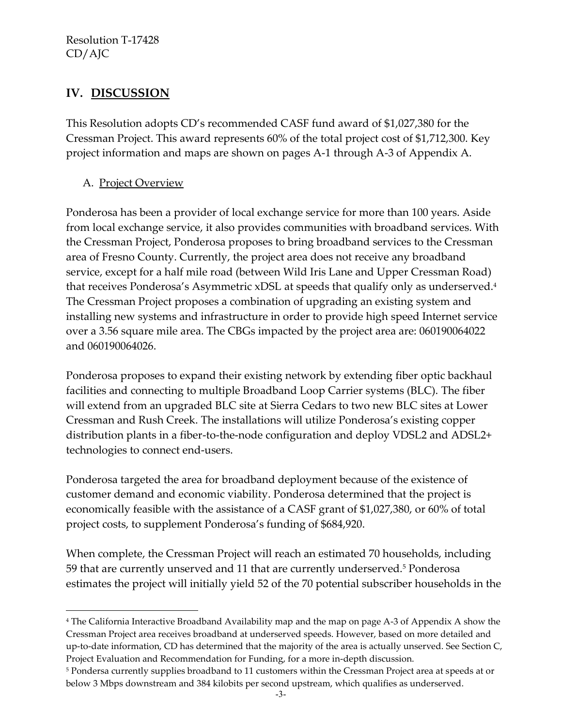## **IV. DISCUSSION**

This Resolution adopts CD's recommended CASF fund award of \$1,027,380 for the Cressman Project. This award represents 60% of the total project cost of \$1,712,300. Key project information and maps are shown on pages A-1 through A-3 of Appendix A.

#### A. Project Overview

 $\overline{a}$ 

Ponderosa has been a provider of local exchange service for more than 100 years. Aside from local exchange service, it also provides communities with broadband services. With the Cressman Project, Ponderosa proposes to bring broadband services to the Cressman area of Fresno County. Currently, the project area does not receive any broadband service, except for a half mile road (between Wild Iris Lane and Upper Cressman Road) that receives Ponderosa's Asymmetric xDSL at speeds that qualify only as underserved.<sup>4</sup> The Cressman Project proposes a combination of upgrading an existing system and installing new systems and infrastructure in order to provide high speed Internet service over a 3.56 square mile area. The CBGs impacted by the project area are: 060190064022 and 060190064026.

Ponderosa proposes to expand their existing network by extending fiber optic backhaul facilities and connecting to multiple Broadband Loop Carrier systems (BLC). The fiber will extend from an upgraded BLC site at Sierra Cedars to two new BLC sites at Lower Cressman and Rush Creek. The installations will utilize Ponderosa's existing copper distribution plants in a fiber-to-the-node configuration and deploy VDSL2 and ADSL2+ technologies to connect end-users.

Ponderosa targeted the area for broadband deployment because of the existence of customer demand and economic viability. Ponderosa determined that the project is economically feasible with the assistance of a CASF grant of \$1,027,380, or 60% of total project costs, to supplement Ponderosa's funding of \$684,920.

When complete, the Cressman Project will reach an estimated 70 households, including 59 that are currently unserved and 11 that are currently underserved.<sup>5</sup> Ponderosa estimates the project will initially yield 52 of the 70 potential subscriber households in the

<sup>4</sup> The California Interactive Broadband Availability map and the map on page A-3 of Appendix A show the Cressman Project area receives broadband at underserved speeds. However, based on more detailed and up-to-date information, CD has determined that the majority of the area is actually unserved. See Section C, Project Evaluation and Recommendation for Funding, for a more in-depth discussion.

<sup>5</sup> Pondersa currently supplies broadband to 11 customers within the Cressman Project area at speeds at or below 3 Mbps downstream and 384 kilobits per second upstream, which qualifies as underserved.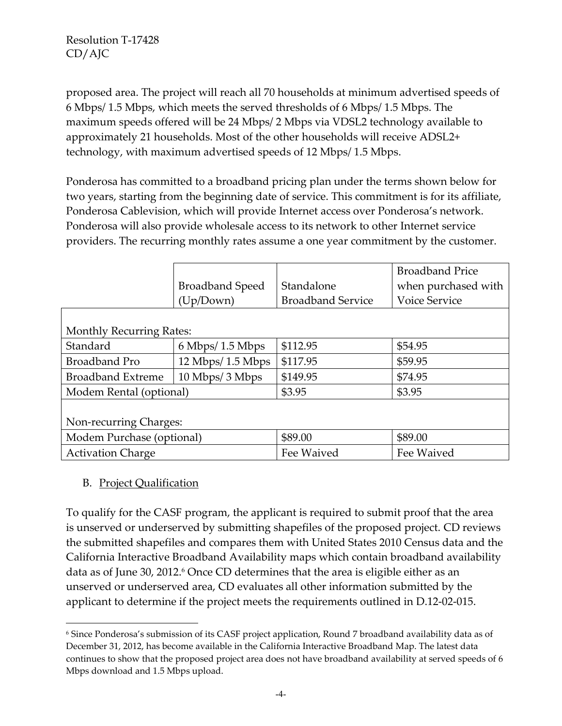proposed area. The project will reach all 70 households at minimum advertised speeds of 6 Mbps/ 1.5 Mbps, which meets the served thresholds of 6 Mbps/ 1.5 Mbps. The maximum speeds offered will be 24 Mbps/ 2 Mbps via VDSL2 technology available to approximately 21 households. Most of the other households will receive ADSL2+ technology, with maximum advertised speeds of 12 Mbps/ 1.5 Mbps.

Ponderosa has committed to a broadband pricing plan under the terms shown below for two years, starting from the beginning date of service. This commitment is for its affiliate, Ponderosa Cablevision, which will provide Internet access over Ponderosa's network. Ponderosa will also provide wholesale access to its network to other Internet service providers. The recurring monthly rates assume a one year commitment by the customer.

|                                 |                                      |                          | <b>Broadband Price</b> |  |  |
|---------------------------------|--------------------------------------|--------------------------|------------------------|--|--|
|                                 | <b>Broadband Speed</b>               | Standalone               | when purchased with    |  |  |
|                                 | (Up/Down)                            | <b>Broadband Service</b> | <b>Voice Service</b>   |  |  |
|                                 |                                      |                          |                        |  |  |
| <b>Monthly Recurring Rates:</b> |                                      |                          |                        |  |  |
| Standard                        | $6$ Mbps/ 1.5 Mbps                   | \$112.95                 | \$54.95                |  |  |
| <b>Broadband Pro</b>            | $12 \text{ Mbps} / 1.5 \text{ Mbps}$ | \$117.95                 | \$59.95                |  |  |
| <b>Broadband Extreme</b>        | 10 Mbps/3 Mbps                       | \$149.95                 | \$74.95                |  |  |
| Modem Rental (optional)         |                                      | \$3.95                   | \$3.95                 |  |  |
|                                 |                                      |                          |                        |  |  |
| Non-recurring Charges:          |                                      |                          |                        |  |  |
| Modem Purchase (optional)       |                                      | \$89.00                  | \$89.00                |  |  |
| <b>Activation Charge</b>        |                                      | Fee Waived               | Fee Waived             |  |  |

#### B. Project Qualification

 $\overline{a}$ 

To qualify for the CASF program, the applicant is required to submit proof that the area is unserved or underserved by submitting shapefiles of the proposed project. CD reviews the submitted shapefiles and compares them with United States 2010 Census data and the California Interactive Broadband Availability maps which contain broadband availability data as of June 30, 2012. <sup>6</sup> Once CD determines that the area is eligible either as an unserved or underserved area, CD evaluates all other information submitted by the applicant to determine if the project meets the requirements outlined in D.12-02-015.

<sup>6</sup> Since Ponderosa's submission of its CASF project application, Round 7 broadband availability data as of December 31, 2012, has become available in the California Interactive Broadband Map. The latest data continues to show that the proposed project area does not have broadband availability at served speeds of 6 Mbps download and 1.5 Mbps upload.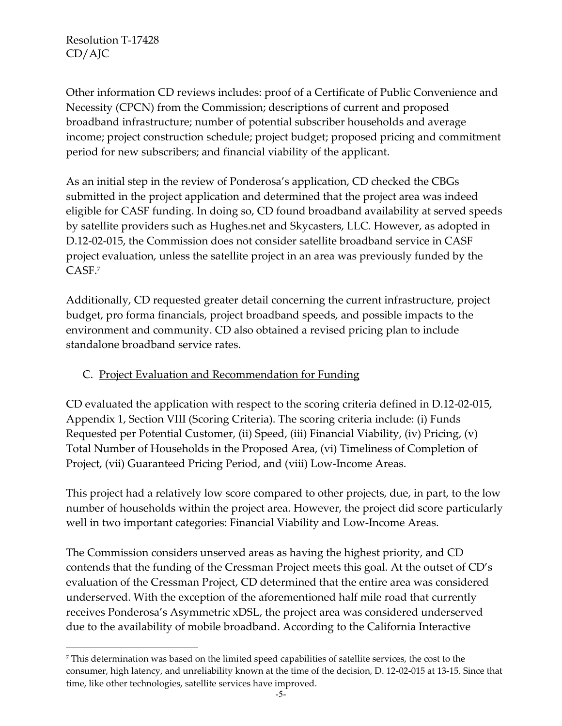$\overline{a}$ 

Other information CD reviews includes: proof of a Certificate of Public Convenience and Necessity (CPCN) from the Commission; descriptions of current and proposed broadband infrastructure; number of potential subscriber households and average income; project construction schedule; project budget; proposed pricing and commitment period for new subscribers; and financial viability of the applicant.

As an initial step in the review of Ponderosa's application, CD checked the CBGs submitted in the project application and determined that the project area was indeed eligible for CASF funding. In doing so, CD found broadband availability at served speeds by satellite providers such as Hughes.net and Skycasters, LLC. However, as adopted in D.12-02-015, the Commission does not consider satellite broadband service in CASF project evaluation, unless the satellite project in an area was previously funded by the CASF.<sup>7</sup>

Additionally, CD requested greater detail concerning the current infrastructure, project budget, pro forma financials, project broadband speeds, and possible impacts to the environment and community. CD also obtained a revised pricing plan to include standalone broadband service rates.

## C. Project Evaluation and Recommendation for Funding

CD evaluated the application with respect to the scoring criteria defined in D.12-02-015, Appendix 1, Section VIII (Scoring Criteria). The scoring criteria include: (i) Funds Requested per Potential Customer, (ii) Speed, (iii) Financial Viability, (iv) Pricing, (v) Total Number of Households in the Proposed Area, (vi) Timeliness of Completion of Project, (vii) Guaranteed Pricing Period, and (viii) Low-Income Areas.

This project had a relatively low score compared to other projects, due, in part, to the low number of households within the project area. However, the project did score particularly well in two important categories: Financial Viability and Low-Income Areas.

The Commission considers unserved areas as having the highest priority, and CD contends that the funding of the Cressman Project meets this goal. At the outset of CD's evaluation of the Cressman Project, CD determined that the entire area was considered underserved. With the exception of the aforementioned half mile road that currently receives Ponderosa's Asymmetric xDSL, the project area was considered underserved due to the availability of mobile broadband. According to the California Interactive

<sup>7</sup> This determination was based on the limited speed capabilities of satellite services, the cost to the consumer, high latency, and unreliability known at the time of the decision, D. 12-02-015 at 13-15. Since that time, like other technologies, satellite services have improved.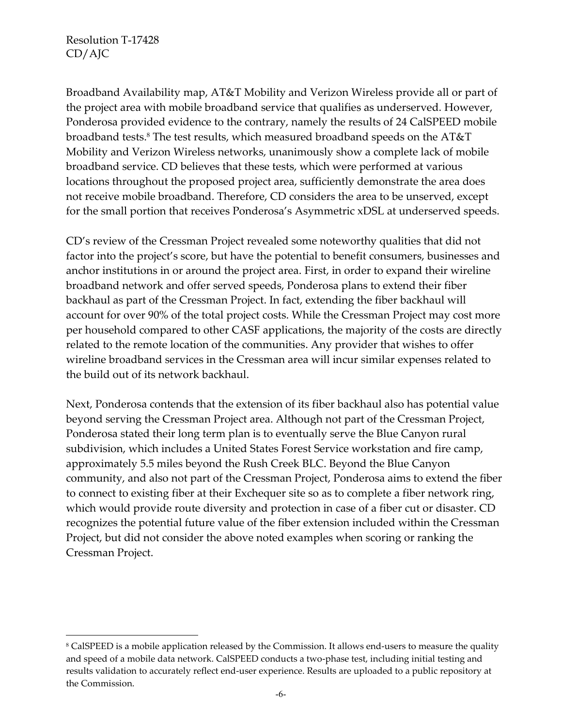$\overline{a}$ 

Broadband Availability map, AT&T Mobility and Verizon Wireless provide all or part of the project area with mobile broadband service that qualifies as underserved. However, Ponderosa provided evidence to the contrary, namely the results of 24 CalSPEED mobile broadband tests.<sup>8</sup> The test results, which measured broadband speeds on the AT&T Mobility and Verizon Wireless networks, unanimously show a complete lack of mobile broadband service. CD believes that these tests, which were performed at various locations throughout the proposed project area, sufficiently demonstrate the area does not receive mobile broadband. Therefore, CD considers the area to be unserved, except for the small portion that receives Ponderosa's Asymmetric xDSL at underserved speeds.

CD's review of the Cressman Project revealed some noteworthy qualities that did not factor into the project's score, but have the potential to benefit consumers, businesses and anchor institutions in or around the project area. First, in order to expand their wireline broadband network and offer served speeds, Ponderosa plans to extend their fiber backhaul as part of the Cressman Project. In fact, extending the fiber backhaul will account for over 90% of the total project costs. While the Cressman Project may cost more per household compared to other CASF applications, the majority of the costs are directly related to the remote location of the communities. Any provider that wishes to offer wireline broadband services in the Cressman area will incur similar expenses related to the build out of its network backhaul.

Next, Ponderosa contends that the extension of its fiber backhaul also has potential value beyond serving the Cressman Project area. Although not part of the Cressman Project, Ponderosa stated their long term plan is to eventually serve the Blue Canyon rural subdivision, which includes a United States Forest Service workstation and fire camp, approximately 5.5 miles beyond the Rush Creek BLC. Beyond the Blue Canyon community, and also not part of the Cressman Project, Ponderosa aims to extend the fiber to connect to existing fiber at their Exchequer site so as to complete a fiber network ring, which would provide route diversity and protection in case of a fiber cut or disaster. CD recognizes the potential future value of the fiber extension included within the Cressman Project, but did not consider the above noted examples when scoring or ranking the Cressman Project.

<sup>8</sup> CalSPEED is a mobile application released by the Commission. It allows end-users to measure the quality and speed of a mobile data network. CalSPEED conducts a two-phase test, including initial testing and results validation to accurately reflect end-user experience. Results are uploaded to a public repository at the Commission.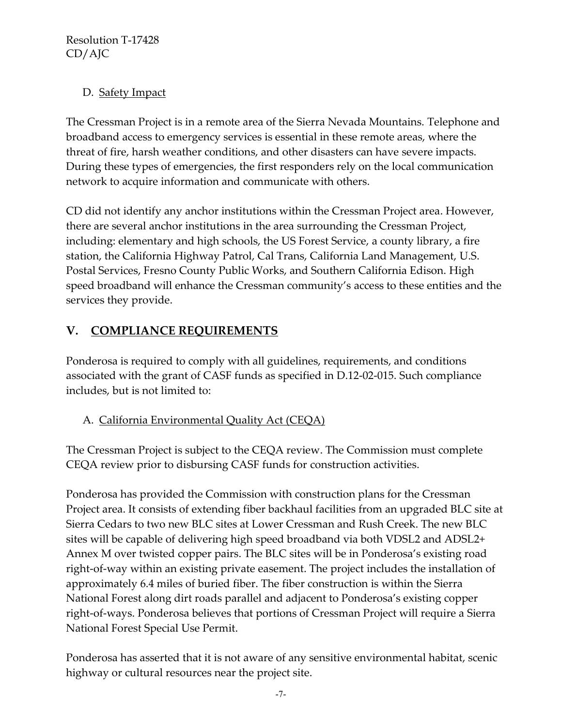## D. Safety Impact

The Cressman Project is in a remote area of the Sierra Nevada Mountains. Telephone and broadband access to emergency services is essential in these remote areas, where the threat of fire, harsh weather conditions, and other disasters can have severe impacts. During these types of emergencies, the first responders rely on the local communication network to acquire information and communicate with others.

CD did not identify any anchor institutions within the Cressman Project area. However, there are several anchor institutions in the area surrounding the Cressman Project, including: elementary and high schools, the US Forest Service, a county library, a fire station, the California Highway Patrol, Cal Trans, California Land Management, U.S. Postal Services, Fresno County Public Works, and Southern California Edison. High speed broadband will enhance the Cressman community's access to these entities and the services they provide.

# **V. COMPLIANCE REQUIREMENTS**

Ponderosa is required to comply with all guidelines, requirements, and conditions associated with the grant of CASF funds as specified in D.12-02-015. Such compliance includes, but is not limited to:

## A. California Environmental Quality Act (CEQA)

The Cressman Project is subject to the CEQA review. The Commission must complete CEQA review prior to disbursing CASF funds for construction activities.

Ponderosa has provided the Commission with construction plans for the Cressman Project area. It consists of extending fiber backhaul facilities from an upgraded BLC site at Sierra Cedars to two new BLC sites at Lower Cressman and Rush Creek. The new BLC sites will be capable of delivering high speed broadband via both VDSL2 and ADSL2+ Annex M over twisted copper pairs. The BLC sites will be in Ponderosa's existing road right-of-way within an existing private easement. The project includes the installation of approximately 6.4 miles of buried fiber. The fiber construction is within the Sierra National Forest along dirt roads parallel and adjacent to Ponderosa's existing copper right-of-ways. Ponderosa believes that portions of Cressman Project will require a Sierra National Forest Special Use Permit.

Ponderosa has asserted that it is not aware of any sensitive environmental habitat, scenic highway or cultural resources near the project site.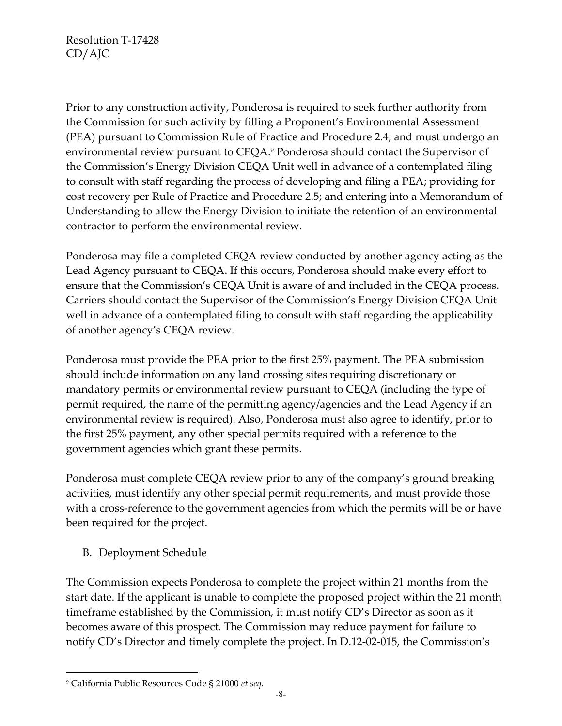Prior to any construction activity, Ponderosa is required to seek further authority from the Commission for such activity by filling a Proponent's Environmental Assessment (PEA) pursuant to Commission Rule of Practice and Procedure 2.4; and must undergo an environmental review pursuant to CEQA.<sup>9</sup> Ponderosa should contact the Supervisor of the Commission's Energy Division CEQA Unit well in advance of a contemplated filing to consult with staff regarding the process of developing and filing a PEA; providing for cost recovery per Rule of Practice and Procedure 2.5; and entering into a Memorandum of Understanding to allow the Energy Division to initiate the retention of an environmental contractor to perform the environmental review.

Ponderosa may file a completed CEQA review conducted by another agency acting as the Lead Agency pursuant to CEQA. If this occurs, Ponderosa should make every effort to ensure that the Commission's CEQA Unit is aware of and included in the CEQA process. Carriers should contact the Supervisor of the Commission's Energy Division CEQA Unit well in advance of a contemplated filing to consult with staff regarding the applicability of another agency's CEQA review.

Ponderosa must provide the PEA prior to the first 25% payment. The PEA submission should include information on any land crossing sites requiring discretionary or mandatory permits or environmental review pursuant to CEQA (including the type of permit required, the name of the permitting agency/agencies and the Lead Agency if an environmental review is required). Also, Ponderosa must also agree to identify, prior to the first 25% payment, any other special permits required with a reference to the government agencies which grant these permits.

Ponderosa must complete CEQA review prior to any of the company's ground breaking activities, must identify any other special permit requirements, and must provide those with a cross-reference to the government agencies from which the permits will be or have been required for the project.

## B. Deployment Schedule

The Commission expects Ponderosa to complete the project within 21 months from the start date. If the applicant is unable to complete the proposed project within the 21 month timeframe established by the Commission, it must notify CD's Director as soon as it becomes aware of this prospect. The Commission may reduce payment for failure to notify CD's Director and timely complete the project. In D.12-02-015, the Commission's

 $\overline{a}$ 

<sup>9</sup> California Public Resources Code § 21000 *et seq*.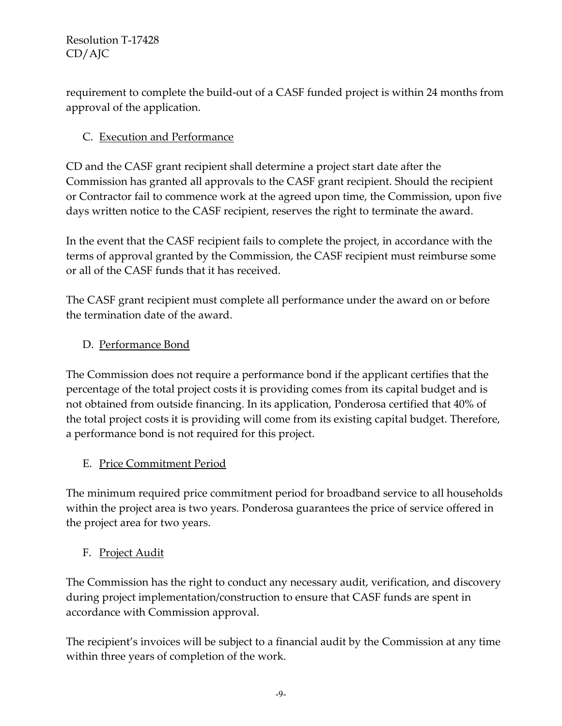requirement to complete the build-out of a CASF funded project is within 24 months from approval of the application.

## C. Execution and Performance

CD and the CASF grant recipient shall determine a project start date after the Commission has granted all approvals to the CASF grant recipient. Should the recipient or Contractor fail to commence work at the agreed upon time, the Commission, upon five days written notice to the CASF recipient, reserves the right to terminate the award.

In the event that the CASF recipient fails to complete the project, in accordance with the terms of approval granted by the Commission, the CASF recipient must reimburse some or all of the CASF funds that it has received.

The CASF grant recipient must complete all performance under the award on or before the termination date of the award.

## D. Performance Bond

The Commission does not require a performance bond if the applicant certifies that the percentage of the total project costs it is providing comes from its capital budget and is not obtained from outside financing. In its application, Ponderosa certified that 40% of the total project costs it is providing will come from its existing capital budget. Therefore, a performance bond is not required for this project.

## E. Price Commitment Period

The minimum required price commitment period for broadband service to all households within the project area is two years. Ponderosa guarantees the price of service offered in the project area for two years.

## F. Project Audit

The Commission has the right to conduct any necessary audit, verification, and discovery during project implementation/construction to ensure that CASF funds are spent in accordance with Commission approval.

The recipient's invoices will be subject to a financial audit by the Commission at any time within three years of completion of the work.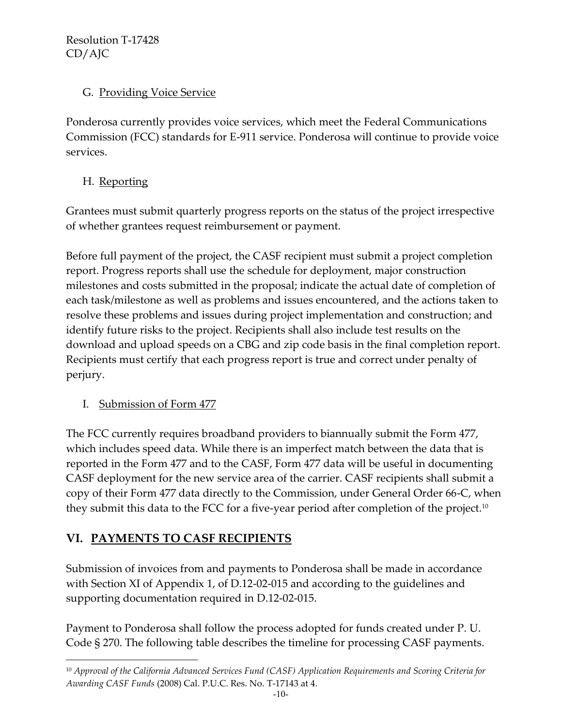## G. Providing Voice Service

Ponderosa currently provides voice services, which meet the Federal Communications Commission (FCC) standards for E-911 service. Ponderosa will continue to provide voice services.

## H. Reporting

Grantees must submit quarterly progress reports on the status of the project irrespective of whether grantees request reimbursement or payment.

Before full payment of the project, the CASF recipient must submit a project completion report. Progress reports shall use the schedule for deployment, major construction milestones and costs submitted in the proposal; indicate the actual date of completion of each task/milestone as well as problems and issues encountered, and the actions taken to resolve these problems and issues during project implementation and construction; and identify future risks to the project. Recipients shall also include test results on the download and upload speeds on a CBG and zip code basis in the final completion report. Recipients must certify that each progress report is true and correct under penalty of perjury.

## I. Submission of Form 477

 $\overline{a}$ 

The FCC currently requires broadband providers to biannually submit the Form 477, which includes speed data. While there is an imperfect match between the data that is reported in the Form 477 and to the CASF, Form 477 data will be useful in documenting CASF deployment for the new service area of the carrier. CASF recipients shall submit a copy of their Form 477 data directly to the Commission, under General Order 66-C, when they submit this data to the FCC for a five-year period after completion of the project.<sup>10</sup>

# **VI. PAYMENTS TO CASF RECIPIENTS**

Submission of invoices from and payments to Ponderosa shall be made in accordance with Section XI of Appendix 1, of D.12-02-015 and according to the guidelines and supporting documentation required in D.12-02-015.

Payment to Ponderosa shall follow the process adopted for funds created under P. U. Code § 270. The following table describes the timeline for processing CASF payments.

<sup>10</sup> *Approval of the California Advanced Services Fund (CASF) Application Requirements and Scoring Criteria for Awarding CASF Funds* (2008) Cal. P.U.C. Res. No. T-17143 at 4.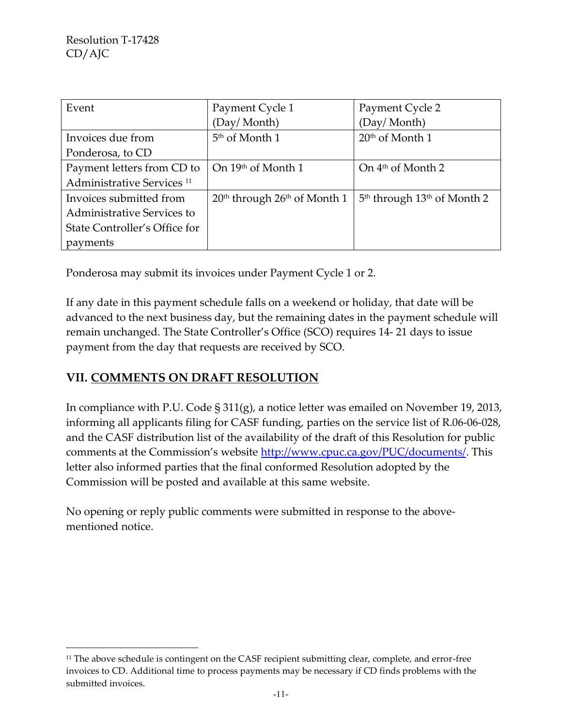$\overline{a}$ 

| Event                                 | Payment Cycle 1                  | Payment Cycle 2                                     |
|---------------------------------------|----------------------------------|-----------------------------------------------------|
|                                       | (Day/Month)                      | (Day/Month)                                         |
| Invoices due from                     | 5 <sup>th</sup> of Month 1       | $20th$ of Month 1                                   |
| Ponderosa, to CD                      |                                  |                                                     |
| Payment letters from CD to            | On 19th of Month 1               | On $4th$ of Month 2                                 |
| Administrative Services <sup>11</sup> |                                  |                                                     |
| Invoices submitted from               | $20th$ through $26th$ of Month 1 | 5 <sup>th</sup> through 13 <sup>th</sup> of Month 2 |
| Administrative Services to            |                                  |                                                     |
| State Controller's Office for         |                                  |                                                     |
| payments                              |                                  |                                                     |

Ponderosa may submit its invoices under Payment Cycle 1 or 2.

If any date in this payment schedule falls on a weekend or holiday, that date will be advanced to the next business day, but the remaining dates in the payment schedule will remain unchanged. The State Controller's Office (SCO) requires 14- 21 days to issue payment from the day that requests are received by SCO.

## **VII. COMMENTS ON DRAFT RESOLUTION**

In compliance with P.U. Code § 311(g), a notice letter was emailed on November 19, 2013, informing all applicants filing for CASF funding, parties on the service list of R.06-06-028, and the CASF distribution list of the availability of the draft of this Resolution for public comments at the Commission's website [http://www.cpuc.ca.gov/PUC/documents/.](http://www.cpuc.ca.gov/PUC/documents/) This letter also informed parties that the final conformed Resolution adopted by the Commission will be posted and available at this same website.

No opening or reply public comments were submitted in response to the abovementioned notice.

<sup>&</sup>lt;sup>11</sup> The above schedule is contingent on the CASF recipient submitting clear, complete, and error-free invoices to CD. Additional time to process payments may be necessary if CD finds problems with the submitted invoices.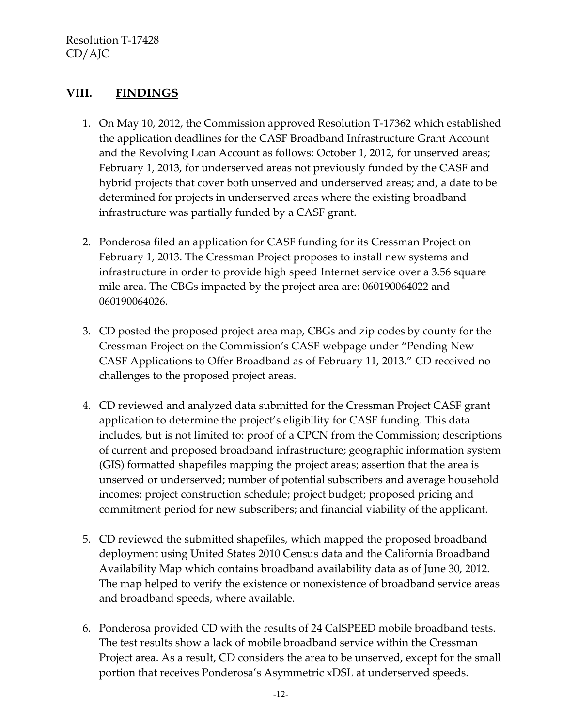## **VIII. FINDINGS**

- 1. On May 10, 2012, the Commission approved Resolution T-17362 which established the application deadlines for the CASF Broadband Infrastructure Grant Account and the Revolving Loan Account as follows: October 1, 2012, for unserved areas; February 1, 2013, for underserved areas not previously funded by the CASF and hybrid projects that cover both unserved and underserved areas; and, a date to be determined for projects in underserved areas where the existing broadband infrastructure was partially funded by a CASF grant.
- 2. Ponderosa filed an application for CASF funding for its Cressman Project on February 1, 2013. The Cressman Project proposes to install new systems and infrastructure in order to provide high speed Internet service over a 3.56 square mile area. The CBGs impacted by the project area are: 060190064022 and 060190064026.
- 3. CD posted the proposed project area map, CBGs and zip codes by county for the Cressman Project on the Commission's CASF webpage under "Pending New CASF Applications to Offer Broadband as of February 11, 2013." CD received no challenges to the proposed project areas.
- 4. CD reviewed and analyzed data submitted for the Cressman Project CASF grant application to determine the project's eligibility for CASF funding. This data includes, but is not limited to: proof of a CPCN from the Commission; descriptions of current and proposed broadband infrastructure; geographic information system (GIS) formatted shapefiles mapping the project areas; assertion that the area is unserved or underserved; number of potential subscribers and average household incomes; project construction schedule; project budget; proposed pricing and commitment period for new subscribers; and financial viability of the applicant.
- 5. CD reviewed the submitted shapefiles, which mapped the proposed broadband deployment using United States 2010 Census data and the California Broadband Availability Map which contains broadband availability data as of June 30, 2012. The map helped to verify the existence or nonexistence of broadband service areas and broadband speeds, where available.
- 6. Ponderosa provided CD with the results of 24 CalSPEED mobile broadband tests. The test results show a lack of mobile broadband service within the Cressman Project area. As a result, CD considers the area to be unserved, except for the small portion that receives Ponderosa's Asymmetric xDSL at underserved speeds.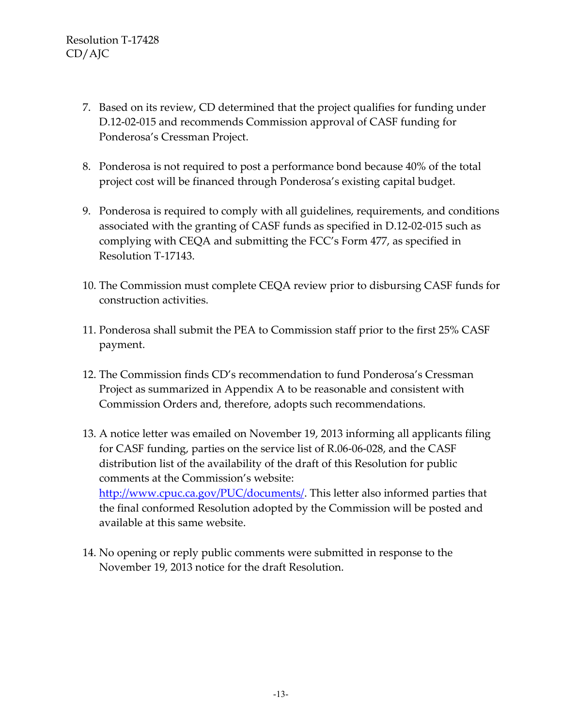- 7. Based on its review, CD determined that the project qualifies for funding under D.12-02-015 and recommends Commission approval of CASF funding for Ponderosa's Cressman Project.
- 8. Ponderosa is not required to post a performance bond because 40% of the total project cost will be financed through Ponderosa's existing capital budget.
- 9. Ponderosa is required to comply with all guidelines, requirements, and conditions associated with the granting of CASF funds as specified in D.12-02-015 such as complying with CEQA and submitting the FCC's Form 477, as specified in Resolution T-17143.
- 10. The Commission must complete CEQA review prior to disbursing CASF funds for construction activities.
- 11. Ponderosa shall submit the PEA to Commission staff prior to the first 25% CASF payment.
- 12. The Commission finds CD's recommendation to fund Ponderosa's Cressman Project as summarized in Appendix A to be reasonable and consistent with Commission Orders and, therefore, adopts such recommendations.
- 13. A notice letter was emailed on November 19, 2013 informing all applicants filing for CASF funding, parties on the service list of R.06-06-028, and the CASF distribution list of the availability of the draft of this Resolution for public comments at the Commission's website: [http://www.cpuc.ca.gov/PUC/documents/.](http://www.cpuc.ca.gov/PUC/documents/) This letter also informed parties that the final conformed Resolution adopted by the Commission will be posted and available at this same website.
- 14. No opening or reply public comments were submitted in response to the November 19, 2013 notice for the draft Resolution.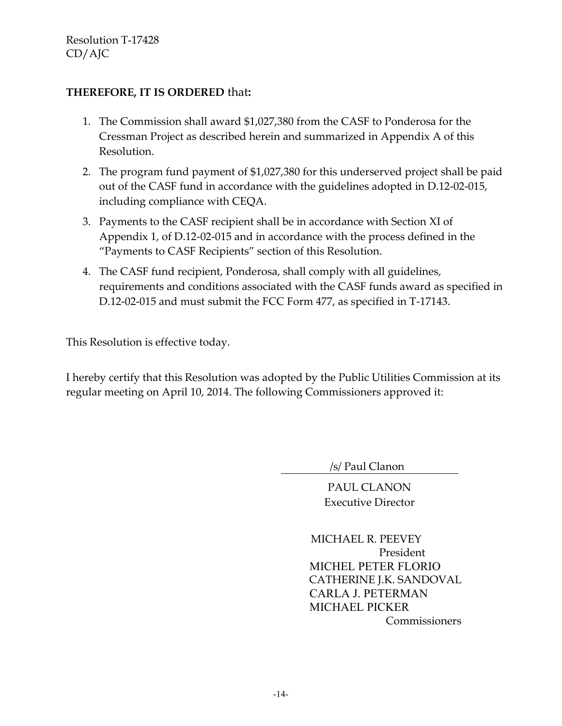#### **THEREFORE, IT IS ORDERED** that**:**

- 1. The Commission shall award \$1,027,380 from the CASF to Ponderosa for the Cressman Project as described herein and summarized in Appendix A of this Resolution.
- 2. The program fund payment of \$1,027,380 for this underserved project shall be paid out of the CASF fund in accordance with the guidelines adopted in D.12-02-015, including compliance with CEQA.
- 3. Payments to the CASF recipient shall be in accordance with Section XI of Appendix 1, of D.12-02-015 and in accordance with the process defined in the "Payments to CASF Recipients" section of this Resolution.
- 4. The CASF fund recipient, Ponderosa, shall comply with all guidelines, requirements and conditions associated with the CASF funds award as specified in D.12-02-015 and must submit the FCC Form 477, as specified in T-17143.

This Resolution is effective today.

I hereby certify that this Resolution was adopted by the Public Utilities Commission at its regular meeting on April 10, 2014. The following Commissioners approved it:

/s/ Paul Clanon

PAUL CLANON Executive Director

 MICHAEL R. PEEVEY President MICHEL PETER FLORIO CATHERINE J.K. SANDOVAL CARLA J. PETERMAN MICHAEL PICKER Commissioners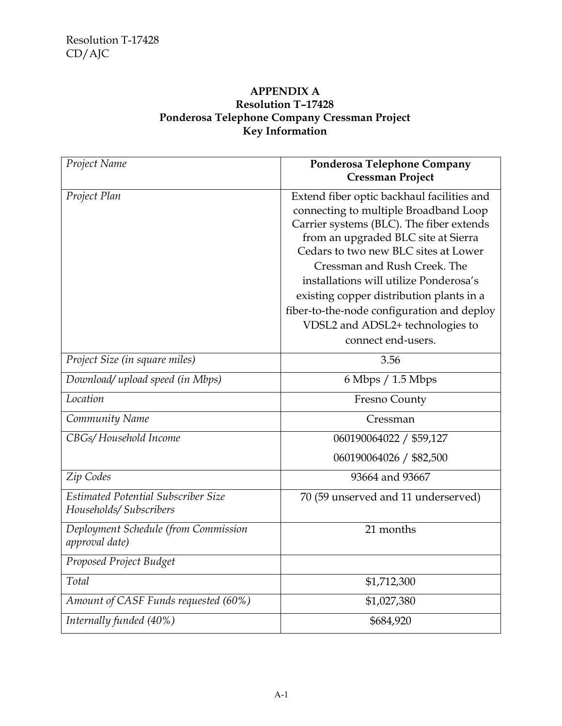#### **APPENDIX A Resolution T–17428 Ponderosa Telephone Company Cressman Project Key Information**

| Project Name                                                          | Ponderosa Telephone Company<br><b>Cressman Project</b>                                                                                                                                                                                                                                                                                                                                                                                       |
|-----------------------------------------------------------------------|----------------------------------------------------------------------------------------------------------------------------------------------------------------------------------------------------------------------------------------------------------------------------------------------------------------------------------------------------------------------------------------------------------------------------------------------|
| Project Plan                                                          | Extend fiber optic backhaul facilities and<br>connecting to multiple Broadband Loop<br>Carrier systems (BLC). The fiber extends<br>from an upgraded BLC site at Sierra<br>Cedars to two new BLC sites at Lower<br>Cressman and Rush Creek. The<br>installations will utilize Ponderosa's<br>existing copper distribution plants in a<br>fiber-to-the-node configuration and deploy<br>VDSL2 and ADSL2+ technologies to<br>connect end-users. |
| Project Size (in square miles)                                        | 3.56                                                                                                                                                                                                                                                                                                                                                                                                                                         |
| Download/ upload speed (in Mbps)                                      | $6$ Mbps $/$ 1.5 Mbps                                                                                                                                                                                                                                                                                                                                                                                                                        |
| Location                                                              | Fresno County                                                                                                                                                                                                                                                                                                                                                                                                                                |
| Community Name                                                        | Cressman                                                                                                                                                                                                                                                                                                                                                                                                                                     |
| CBGs/Household Income                                                 | 060190064022 / \$59,127                                                                                                                                                                                                                                                                                                                                                                                                                      |
|                                                                       | 060190064026 / \$82,500                                                                                                                                                                                                                                                                                                                                                                                                                      |
| Zip Codes                                                             | 93664 and 93667                                                                                                                                                                                                                                                                                                                                                                                                                              |
| <b>Estimated Potential Subscriber Size</b><br>Households/ Subscribers | 70 (59 unserved and 11 underserved)                                                                                                                                                                                                                                                                                                                                                                                                          |
| Deployment Schedule (from Commission<br>approval date)                | 21 months                                                                                                                                                                                                                                                                                                                                                                                                                                    |
| Proposed Project Budget                                               |                                                                                                                                                                                                                                                                                                                                                                                                                                              |
| Total                                                                 | \$1,712,300                                                                                                                                                                                                                                                                                                                                                                                                                                  |
| Amount of CASF Funds requested (60%)                                  | \$1,027,380                                                                                                                                                                                                                                                                                                                                                                                                                                  |
| Internally funded (40%)                                               | \$684,920                                                                                                                                                                                                                                                                                                                                                                                                                                    |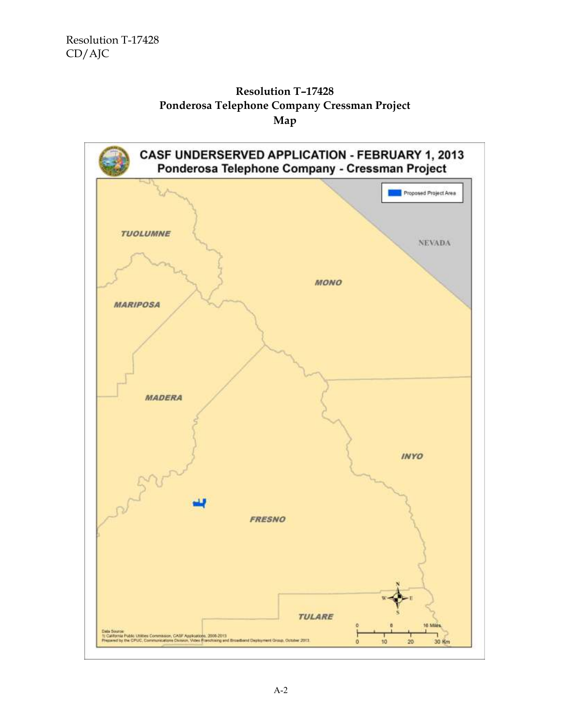